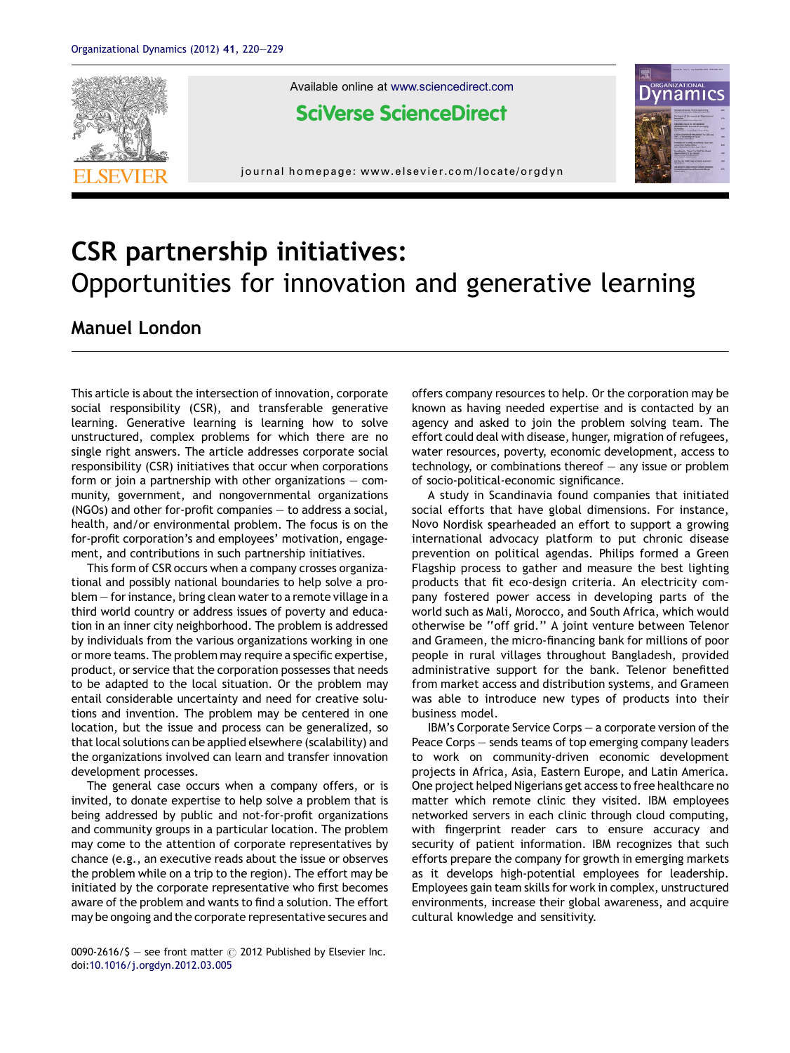

Available online at [www.sciencedirect.com](http://www.sciencedirect.com/science/journal/00902616)

**SciVerse ScienceDirect** 



journal homepage: www.elsevier.com/locate/orgdyn

## CSR partnership initiatives: Opportunities for innovation and generative learning

## Manuel London

This article is about the intersection of innovation, corporate social responsibility (CSR), and transferable generative learning. Generative learning is learning how to solve unstructured, complex problems for which there are no single right answers. The article addresses corporate social responsibility (CSR) initiatives that occur when corporations form or join a partnership with other organizations  $-$  community, government, and nongovernmental organizations (NGOs) and other for-profit companies — to address a social, health, and/or environmental problem. The focus is on the for-profit corporation's and employees' motivation, engagement, and contributions in such partnership initiatives.

This form of CSR occurs when a company crosses organizational and possibly national boundaries to help solve a pro $blem - for instance, bring clean water to a remote village in a$ third world country or address issues of poverty and education in an inner city neighborhood. The problem is addressed by individuals from the various organizations working in one or more teams. The problem may require a specific expertise, product, or service that the corporation possesses that needs to be adapted to the local situation. Or the problem may entail considerable uncertainty and need for creative solutions and invention. The problem may be centered in one location, but the issue and process can be generalized, so that local solutions can be applied elsewhere (scalability) and the organizations involved can learn and transfer innovation development processes.

The general case occurs when a company offers, or is invited, to donate expertise to help solve a problem that is being addressed by public and not-for-profit organizations and community groups in a particular location. The problem may come to the attention of corporate representatives by chance (e.g., an executive reads about the issue or observes the problem while on a trip to the region). The effort may be initiated by the corporate representative who first becomes aware of the problem and wants to find a solution. The effort may be ongoing and the corporate representative secures and

0090-2616/ $\zeta$  – see front matter  $\odot$  2012 Published by Elsevier Inc. doi[:10.1016/j.orgdyn.2012.03.005](http://dx.doi.org/10.1016/j.orgdyn.2012.03.005)

offers company resources to help. Or the corporation may be known as having needed expertise and is contacted by an agency and asked to join the problem solving team. The effort could deal with disease, hunger, migration of refugees, water resources, poverty, economic development, access to technology, or combinations thereof  $-$  any issue or problem of socio-political-economic significance.

A study in Scandinavia found companies that initiated social efforts that have global dimensions. For instance, Novo Nordisk spearheaded an effort to support a growing international advocacy platform to put chronic disease prevention on political agendas. Philips formed a Green Flagship process to gather and measure the best lighting products that fit eco-design criteria. An electricity company fostered power access in developing parts of the world such as Mali, Morocco, and South Africa, which would otherwise be ''off grid.'' A joint venture between Telenor and Grameen, the micro-financing bank for millions of poor people in rural villages throughout Bangladesh, provided administrative support for the bank. Telenor benefitted from market access and distribution systems, and Grameen was able to introduce new types of products into their business model.

IBM's Corporate Service Corps — a corporate version of the Peace Corps — sends teams of top emerging company leaders to work on community-driven economic development projects in Africa, Asia, Eastern Europe, and Latin America. One project helped Nigerians get accessto free healthcare no matter which remote clinic they visited. IBM employees networked servers in each clinic through cloud computing, with fingerprint reader cars to ensure accuracy and security of patient information. IBM recognizes that such efforts prepare the company for growth in emerging markets as it develops high-potential employees for leadership. Employees gain team skills for work in complex, unstructured environments, increase their global awareness, and acquire cultural knowledge and sensitivity.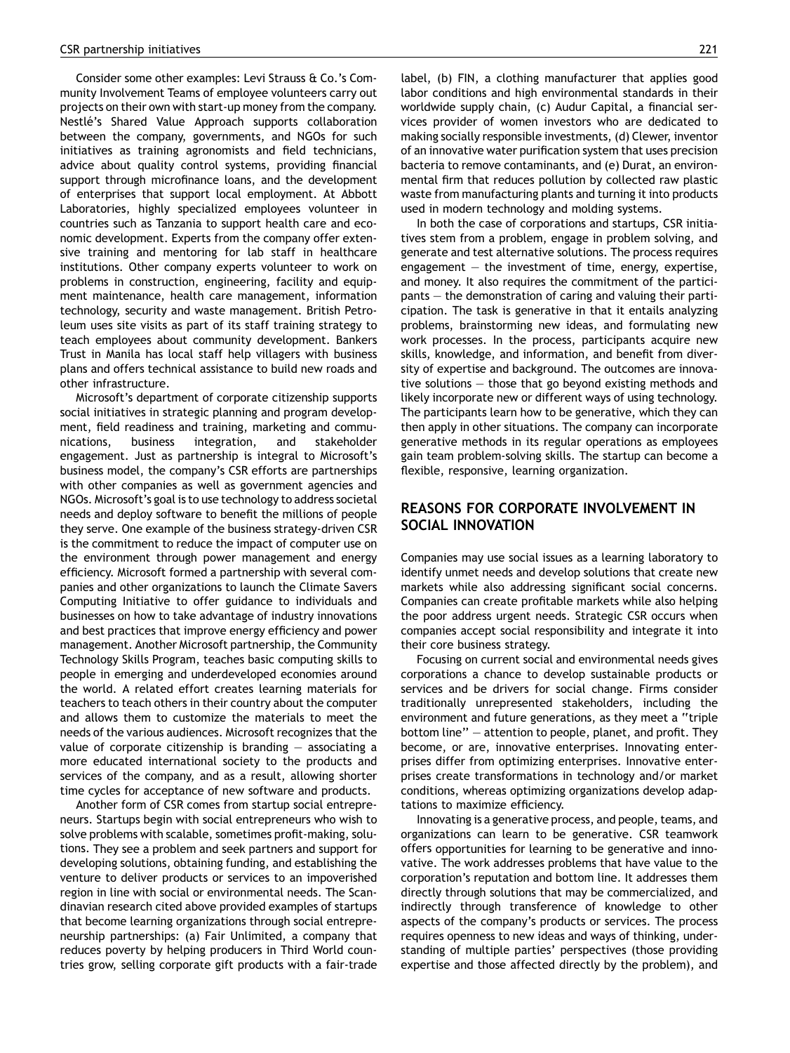Consider some other examples: Levi Strauss & Co.'s Community Involvement Teams of employee volunteers carry out projects on their own with start-up money from the company. Nestlé's Shared Value Approach supports collaboration between the company, governments, and NGOs for such initiatives as training agronomists and field technicians, advice about quality control systems, providing financial support through microfinance loans, and the development of enterprises that support local employment. At Abbott Laboratories, highly specialized employees volunteer in countries such as Tanzania to support health care and economic development. Experts from the company offer extensive training and mentoring for lab staff in healthcare institutions. Other company experts volunteer to work on problems in construction, engineering, facility and equipment maintenance, health care management, information technology, security and waste management. British Petroleum uses site visits as part of its staff training strategy to teach employees about community development. Bankers Trust in Manila has local staff help villagers with business plans and offers technical assistance to build new roads and other infrastructure.

Microsoft's department of corporate citizenship supports social initiatives in strategic planning and program development, field readiness and training, marketing and communications, business integration, and stakeholder engagement. Just as partnership is integral to Microsoft's business model, the company's CSR efforts are partnerships with other companies as well as government agencies and NGOs. Microsoft's goal is to use technology to address societal needs and deploy software to benefit the millions of people they serve. One example of the business strategy-driven CSR is the commitment to reduce the impact of computer use on the environment through power management and energy efficiency. Microsoft formed a partnership with several companies and other organizations to launch the Climate Savers Computing Initiative to offer guidance to individuals and businesses on how to take advantage of industry innovations and best practices that improve energy efficiency and power management. Another Microsoft partnership, the Community Technology Skills Program, teaches basic computing skills to people in emerging and underdeveloped economies around the world. A related effort creates learning materials for teachers to teach others in their country about the computer and allows them to customize the materials to meet the needs of the various audiences. Microsoft recognizes that the value of corporate citizenship is branding  $-$  associating a more educated international society to the products and services of the company, and as a result, allowing shorter time cycles for acceptance of new software and products.

Another form of CSR comes from startup social entrepreneurs. Startups begin with social entrepreneurs who wish to solve problems with scalable, sometimes profit-making, solutions. They see a problem and seek partners and support for developing solutions, obtaining funding, and establishing the venture to deliver products or services to an impoverished region in line with social or environmental needs. The Scandinavian research cited above provided examples of startups that become learning organizations through social entrepreneurship partnerships: (a) Fair Unlimited, a company that reduces poverty by helping producers in Third World countries grow, selling corporate gift products with a fair-trade label, (b) FIN, a clothing manufacturer that applies good labor conditions and high environmental standards in their worldwide supply chain, (c) Audur Capital, a financial services provider of women investors who are dedicated to making socially responsible investments, (d) Clewer, inventor of an innovative water purification system that uses precision bacteria to remove contaminants, and (e) Durat, an environmental firm that reduces pollution by collected raw plastic waste from manufacturing plants and turning it into products used in modern technology and molding systems.

In both the case of corporations and startups, CSR initiatives stem from a problem, engage in problem solving, and generate and test alternative solutions. The process requires engagement  $-$  the investment of time, energy, expertise, and money. It also requires the commitment of the participants — the demonstration of caring and valuing their participation. The task is generative in that it entails analyzing problems, brainstorming new ideas, and formulating new work processes. In the process, participants acquire new skills, knowledge, and information, and benefit from diversity of expertise and background. The outcomes are innovative solutions — those that go beyond existing methods and likely incorporate new or different ways of using technology. The participants learn how to be generative, which they can then apply in other situations. The company can incorporate generative methods in its regular operations as employees gain team problem-solving skills. The startup can become a flexible, responsive, learning organization.

## REASONS FOR CORPORATE INVOLVEMENT IN SOCIAL INNOVATION

Companies may use social issues as a learning laboratory to identify unmet needs and develop solutions that create new markets while also addressing significant social concerns. Companies can create profitable markets while also helping the poor address urgent needs. Strategic CSR occurs when companies accept social responsibility and integrate it into their core business strategy.

Focusing on current social and environmental needs gives corporations a chance to develop sustainable products or services and be drivers for social change. Firms consider traditionally unrepresented stakeholders, including the environment and future generations, as they meet a ''triple bottom line'' — attention to people, planet, and profit. They become, or are, innovative enterprises. Innovating enterprises differ from optimizing enterprises. Innovative enterprises create transformations in technology and/or market conditions, whereas optimizing organizations develop adaptations to maximize efficiency.

Innovating is a generative process, and people, teams, and organizations can learn to be generative. CSR teamwork offers opportunities for learning to be generative and innovative. The work addresses problems that have value to the corporation's reputation and bottom line. It addresses them directly through solutions that may be commercialized, and indirectly through transference of knowledge to other aspects of the company's products or services. The process requires openness to new ideas and ways of thinking, understanding of multiple parties' perspectives (those providing expertise and those affected directly by the problem), and